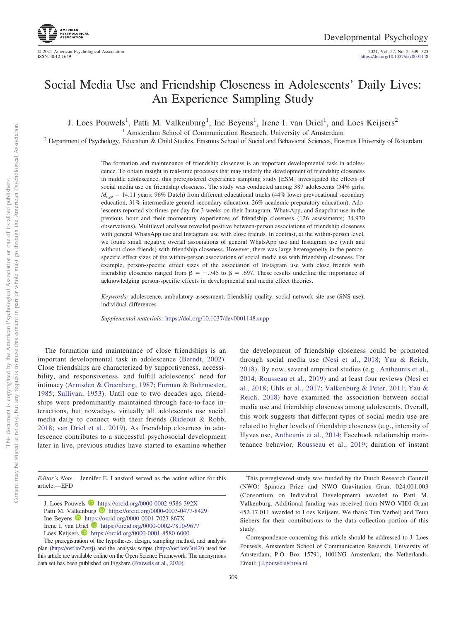# Social Media Use and Friendship Closeness in Adolescents' Daily Lives: An Experience Sampling Study

J. Loes Pouwels<sup>1</sup>, Patti M. Valkenburg<sup>1</sup>, Ine Beyens<sup>1</sup>, Irene I. van Driel<sup>1</sup>, and Loes Keijsers<sup>2</sup>

<sup>1</sup> Amsterdam School of Communication Research, University of Amsterdam<br><sup>2</sup> Department of Psychology, Education & Child Studies, Erasmus School of Social and Behavioral Sciences, Erasmus University of Rotterdam

The formation and maintenance of friendship closeness is an important developmental task in adolescence. To obtain insight in real-time processes that may underly the development of friendship closeness in middle adolescence, this preregistered experience sampling study [ESM] investigated the effects of social media use on friendship closeness. The study was conducted among 387 adolescents (54% girls;  $M_{\text{age}} = 14.11$  years; 96% Dutch) from different educational tracks (44% lower prevocational secondary education, 31% intermediate general secondary education, 26% academic preparatory education). Adolescents reported six times per day for 3 weeks on their Instagram, WhatsApp, and Snapchat use in the previous hour and their momentary experiences of friendship closeness (126 assessments; 34,930 observations). Multilevel analyses revealed positive between-person associations of friendship closeness with general WhatsApp use and Instagram use with close friends. In contrast, at the within-person level, we found small negative overall associations of general WhatsApp use and Instagram use (with and without close friends) with friendship closeness. However, there was large heterogeneity in the personspecific effect sizes of the within-person associations of social media use with friendship closeness. For example, person-specific effect sizes of the association of Instagram use with close friends with friendship closeness ranged from  $\beta = -0.745$  to  $\beta = 0.697$ . These results underline the importance of acknowledging person-specific effects in developmental and media effect theories.

*Keywords:* adolescence, ambulatory assessment, friendship quality, social network site use (SNS use), individual differences

*Supplemental materials:* https://doi.org/10.1037/dev0001148.supp

The formation and maintenance of close friendships is an important developmental task in adolescence [\(Berndt, 2002\)](#page-12-0). Close friendships are characterized by supportiveness, accessibility, and responsiveness, and fulfill adolescents' need for intimacy [\(Armsden & Greenberg, 1987;](#page-12-1) [Furman & Buhrmester,](#page-12-2) [1985;](#page-12-2) [Sullivan, 1953\)](#page-13-0). Until one to two decades ago, friendships were predominantly maintained through face-to-face interactions, but nowadays, virtually all adolescents use social media daily to connect with their friends [\(Rideout & Robb,](#page-13-1) [2018;](#page-13-1) [van Driel et al., 2019\)](#page-14-0). As friendship closeness in adolescence contributes to a successful psychosocial development later in live, previous studies have started to examine whether

the development of friendship closeness could be promoted through social media use [\(Nesi et al., 2018;](#page-13-2) [Yau & Reich,](#page-14-1) [2018\)](#page-14-1). By now, several empirical studies (e.g., [Antheunis et al.,](#page-12-3) [2014;](#page-12-3) [Rousseau et al., 2019\)](#page-13-3) and at least four reviews [\(Nesi et](#page-13-2) [al., 2018;](#page-13-2) [Uhls et al., 2017;](#page-13-4) [Valkenburg & Peter, 2011;](#page-13-5) [Yau &](#page-14-1) [Reich, 2018\)](#page-14-1) have examined the association between social media use and friendship closeness among adolescents. Overall, this work suggests that different types of social media use are related to higher levels of friendship closeness (e.g., intensity of Hyves use, [Antheunis et al., 2014;](#page-12-3) Facebook relationship maintenance behavior, [Rousseau et al., 2019;](#page-13-3) duration of instant

*Editor's Note.* Jennifer E. Lansford served as the action editor for this article.—EFD

This preregistered study was funded by the Dutch Research Council (NWO) Spinoza Prize and NWO Gravitation Grant 024.001.003 (Consortium on Individual Development) awarded to Patti M. Valkenburg. Additional funding was received from NWO VIDI Grant 452.17.011 awarded to Loes Keijsers. We thank Tim Verbeij and Teun Siebers for their contributions to the data collection portion of this study.

Correspondence concerning this article should be addressed to J. Loes Pouwels, Amsterdam School of Communication Research, University of Amsterdam, P.O. Box 15791, 1001NG Amsterdam, the Netherlands. Email: [j.l.pouwels@uva.nl](mailto:j.l.pouwels@uva.nl)

<sup>2021,</sup> Vol. 57, No. 2, 309-323<br>https://doi.org[/10.1037/dev0001148](https://doi.org/10.1037/dev0001148)

J. Loes Pouwels  $\bullet$  https://orcid.org/0000-0002-9586-392[X](https://orcid.org/0000-0002-9586-392X) Patti M. Valkenburg  $\bullet$  https://orcid.org/0000-0003-0477-8429 Ine Beyens  $\bullet$  https://orcid.org/0000-0001-7023-867[X](https://orcid.org/0000-0001-7023-867X) Irene I. van Driel **I** https://orcid.org/0000-0002-7810-9677 Loes Keijsers **D** https://orcid.org/0000-0001-8580-6000

The preregistration of the hypotheses, design, sampling method, and analysis plan [\(https://osf.io/7vszj\)](https://osf.io/7vszj) and the analysis scripts [\(https://osf.io/v3u42/\)](https://osf.io/v3u42/) used for this article are available online on the Open Science Framework. The anonymous data set has been published on Figshare [\(Pouwels et al., 2020\)](#page-13-6).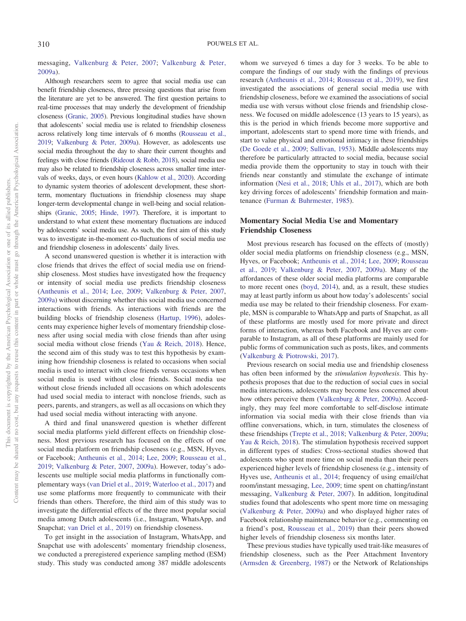messaging, [Valkenburg & Peter, 2007;](#page-13-7) [Valkenburg & Peter,](#page-13-8) [2009a\)](#page-13-8).

Although researchers seem to agree that social media use can benefit friendship closeness, three pressing questions that arise from the literature are yet to be answered. The first question pertains to real-time processes that may underly the development of friendship closeness [\(Granic, 2005\)](#page-12-4). Previous longitudinal studies have shown that adolescents' social media use is related to friendship closeness across relatively long time intervals of 6 months [\(Rousseau et al.,](#page-13-3) [2019;](#page-13-3) [Valkenburg & Peter, 2009a\)](#page-13-8). However, as adolescents use social media throughout the day to share their current thoughts and feelings with close friends [\(Rideout & Robb, 2018\)](#page-13-1), social media use may also be related to friendship closeness across smaller time intervals of weeks, days, or even hours [\(Kahlow et al., 2020\)](#page-12-5). According to dynamic system theories of adolescent development, these shortterm, momentary fluctuations in friendship closeness may shape longer-term developmental change in well-being and social relationships [\(Granic, 2005;](#page-12-4) [Hinde, 1997\)](#page-12-6). Therefore, it is important to understand to what extent these momentary fluctuations are induced by adolescents' social media use. As such, the first aim of this study was to investigate in-the-moment co-fluctuations of social media use and friendship closeness in adolescents' daily lives.

A second unanswered question is whether it is interaction with close friends that drives the effect of social media use on friendship closeness. Most studies have investigated how the frequency or intensity of social media use predicts friendship closeness [\(Antheunis et al., 2014;](#page-12-3) [Lee, 2009;](#page-13-9) [Valkenburg & Peter, 2007,](#page-13-7) [2009a\)](#page-13-8) without discerning whether this social media use concerned interactions with friends. As interactions with friends are the building blocks of friendship closeness [\(Hartup, 1996\)](#page-12-7), adolescents may experience higher levels of momentary friendship closeness after using social media with close friends than after using social media without close friends [\(Yau & Reich, 2018\)](#page-14-1). Hence, the second aim of this study was to test this hypothesis by examining how friendship closeness is related to occasions when social media is used to interact with close friends versus occasions when social media is used without close friends. Social media use without close friends included all occasions on which adolescents had used social media to interact with nonclose friends, such as peers, parents, and strangers, as well as all occasions on which they had used social media without interacting with anyone.

A third and final unanswered question is whether different social media platforms yield different effects on friendship closeness. Most previous research has focused on the effects of one social media platform on friendship closeness (e.g., MSN, Hyves, or Facebook; [Antheunis et al., 2014;](#page-12-3) [Lee, 2009;](#page-13-9) [Rousseau et al.,](#page-13-3) [2019;](#page-13-3) [Valkenburg & Peter, 2007,](#page-13-7) [2009a\)](#page-13-8). However, today's adolescents use multiple social media platforms in functionally complementary ways [\(van Driel et al., 2019;](#page-14-0) [Waterloo et al., 2017\)](#page-14-2) and use some platforms more frequently to communicate with their friends than others. Therefore, the third aim of this study was to investigate the differential effects of the three most popular social media among Dutch adolescents (i.e., Instagram, WhatsApp, and Snapchat; [van Driel et al., 2019\)](#page-14-0) on friendship closeness.

To get insight in the association of Instagram, WhatsApp, and Snapchat use with adolescents' momentary friendship closeness, we conducted a preregistered experience sampling method (ESM) study. This study was conducted among 387 middle adolescents

whom we surveyed 6 times a day for 3 weeks. To be able to compare the findings of our study with the findings of previous research [\(Antheunis et al., 2014;](#page-12-3) [Rousseau et al., 2019\)](#page-13-3), we first investigated the associations of general social media use with friendship closeness, before we examined the associations of social media use with versus without close friends and friendship closeness. We focused on middle adolescence (13 years to 15 years), as this is the period in which friends become more supportive and important, adolescents start to spend more time with friends, and start to value physical and emotional intimacy in these friendships [\(De Goede et al., 2009;](#page-12-8) [Sullivan, 1953\)](#page-13-0). Middle adolescents may therefore be particularly attracted to social media, because social media provide them the opportunity to stay in touch with their friends near constantly and stimulate the exchange of intimate information [\(Nesi et al., 2018;](#page-13-2) [Uhls et al., 2017\)](#page-13-4), which are both key driving forces of adolescents' friendship formation and maintenance [\(Furman & Buhrmester, 1985\)](#page-12-2).

# **Momentary Social Media Use and Momentary Friendship Closeness**

Most previous research has focused on the effects of (mostly) older social media platforms on friendship closeness (e.g., MSN, Hyves, or Facebook; [Antheunis et al., 2014;](#page-12-3) [Lee, 2009;](#page-13-9) [Rousseau](#page-13-3) [et al., 2019;](#page-13-3) [Valkenburg & Peter, 2007,](#page-13-7) [2009a\)](#page-13-8). Many of the affordances of these older social media platforms are comparable to more recent ones [\(boyd, 2014\)](#page-12-9), and, as a result, these studies may at least partly inform us about how today's adolescents' social media use may be related to their friendship closeness. For example, MSN is comparable to WhatsApp and parts of Snapchat, as all of these platforms are mostly used for more private and direct forms of interaction, whereas both Facebook and Hyves are comparable to Instagram, as all of these platforms are mainly used for public forms of communication such as posts, likes, and comments [\(Valkenburg & Piotrowski, 2017\)](#page-13-10).

Previous research on social media use and friendship closeness has often been informed by the *stimulation hypothesis*. This hypothesis proposes that due to the reduction of social cues in social media interactions, adolescents may become less concerned about how others perceive them [\(Valkenburg & Peter, 2009a\)](#page-13-8). Accordingly, they may feel more comfortable to self-disclose intimate information via social media with their close friends than via offline conversations, which, in turn, stimulates the closeness of these friendships [\(Trepte et al., 2018;](#page-13-11) [Valkenburg & Peter, 2009a;](#page-13-8) [Yau & Reich, 2018\)](#page-14-1). The stimulation hypothesis received support in different types of studies: Cross-sectional studies showed that adolescents who spent more time on social media than their peers experienced higher levels of friendship closeness (e.g., intensity of Hyves use, [Antheunis et al., 2014;](#page-12-3) frequency of using email/chat room/instant messaging, [Lee, 2009;](#page-13-9) time spent on chatting/instant messaging, [Valkenburg & Peter, 2007\)](#page-13-7). In addition, longitudinal studies found that adolescents who spent more time on messaging [\(Valkenburg & Peter, 2009a\)](#page-13-8) and who displayed higher rates of Facebook relationship maintenance behavior (e.g., commenting on a friend's post, [Rousseau et al., 2019\)](#page-13-3) than their peers showed higher levels of friendship closeness six months later.

These previous studies have typically used trait-like measures of friendship closeness, such as the Peer Attachment Inventory [\(Armsden & Greenberg, 1987\)](#page-12-1) or the Network of Relationships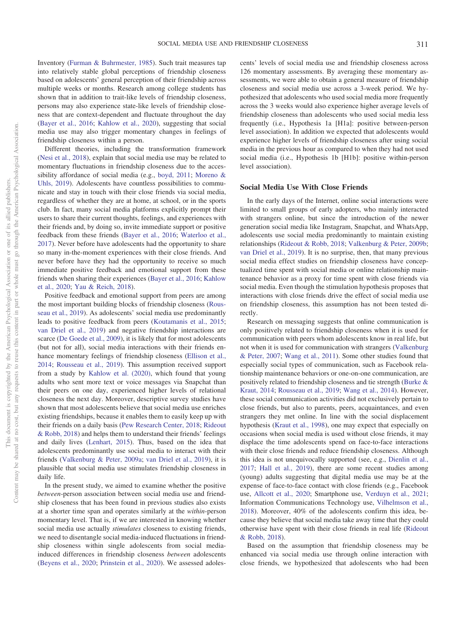Inventory [\(Furman & Buhrmester, 1985\)](#page-12-2). Such trait measures tap into relatively stable global perceptions of friendship closeness based on adolescents' general perception of their friendship across multiple weeks or months. Research among college students has shown that in addition to trait-like levels of friendship closeness, persons may also experience state-like levels of friendship closeness that are context-dependent and fluctuate throughout the day [\(Bayer et al., 2016;](#page-12-10) [Kahlow et al., 2020\)](#page-12-5), suggesting that social media use may also trigger momentary changes in feelings of friendship closeness within a person.

Different theories, including the transformation framework [\(Nesi et al., 2018\)](#page-13-2), explain that social media use may be related to momentary fluctuations in friendship closeness due to the accessibility affordance of social media (e.g., [boyd, 2011;](#page-12-11) [Moreno &](#page-13-12) [Uhls, 2019\)](#page-13-12). Adolescents have countless possibilities to communicate and stay in touch with their close friends via social media, regardless of whether they are at home, at school, or in the sports club. In fact, many social media platforms explicitly prompt their users to share their current thoughts, feelings, and experiences with their friends and, by doing so, invite immediate support or positive feedback from these friends [\(Bayer et al., 2016;](#page-12-10) [Waterloo et al.,](#page-14-2) [2017\)](#page-14-2). Never before have adolescents had the opportunity to share so many in-the-moment experiences with their close friends. And never before have they had the opportunity to receive so much immediate positive feedback and emotional support from these friends when sharing their experiences [\(Bayer et al., 2016;](#page-12-10) [Kahlow](#page-12-5) [et al., 2020;](#page-12-5) [Yau & Reich, 2018\)](#page-14-1).

Positive feedback and emotional support from peers are among the most important building blocks of friendship closeness [\(Rous](#page-13-3)[seau et al., 2019\)](#page-13-3). As adolescents' social media use predominantly leads to positive feedback from peers [\(Koutamanis et al., 2015;](#page-13-13) [van Driel et al., 2019\)](#page-14-0) and negative friendship interactions are scarce [\(De Goede et al., 2009\)](#page-12-8), it is likely that for most adolescents (but not for all), social media interactions with their friends enhance momentary feelings of friendship closeness [\(Ellison et al.,](#page-12-12) [2014;](#page-12-12) [Rousseau et al., 2019\)](#page-13-3). This assumption received support from a study by [Kahlow et al. \(2020\),](#page-12-5) which found that young adults who sent more text or voice messages via Snapchat than their peers on one day, experienced higher levels of relational closeness the next day. Moreover, descriptive survey studies have shown that most adolescents believe that social media use enriches existing friendships, because it enables them to easily keep up with their friends on a daily basis [\(Pew Research Center, 2018;](#page-13-14) [Rideout](#page-13-1) [& Robb, 2018\)](#page-13-1) and helps them to understand their friends' feelings and daily lives [\(Lenhart, 2015\)](#page-13-15). Thus, based on the idea that adolescents predominantly use social media to interact with their friends [\(Valkenburg & Peter, 2009a;](#page-13-8) [van Driel et al., 2019\)](#page-14-0), it is plausible that social media use stimulates friendship closeness in daily life.

In the present study, we aimed to examine whether the positive *between*-person association between social media use and friendship closeness that has been found in previous studies also exists at a shorter time span and operates similarly at the *within*-person momentary level. That is, if we are interested in knowing whether social media use actually *stimulates* closeness to existing friends, we need to disentangle social media-induced fluctuations in friendship closeness within single adolescents from social mediainduced differences in friendship closeness *between* adolescents [\(Beyens et al., 2020;](#page-12-13) [Prinstein et al., 2020\)](#page-13-16). We assessed adolescents' levels of social media use and friendship closeness across 126 momentary assessments. By averaging these momentary assessments, we were able to obtain a general measure of friendship closeness and social media use across a 3-week period. We hypothesized that adolescents who used social media more frequently across the 3 weeks would also experience higher average levels of friendship closeness than adolescents who used social media less frequently (i.e., Hypothesis 1a [H1a]: positive between-person level association). In addition we expected that adolescents would experience higher levels of friendship closeness after using social media in the previous hour as compared to when they had not used social media (i.e., Hypothesis 1b [H1b]: positive within-person level association).

# **Social Media Use With Close Friends**

In the early days of the Internet, online social interactions were limited to small groups of early adopters, who mainly interacted with strangers online, but since the introduction of the newer generation social media like Instagram, Snapchat, and WhatsApp, adolescents use social media predominantly to maintain existing relationships [\(Rideout & Robb, 2018;](#page-13-1) [Valkenburg & Peter, 2009b;](#page-13-17) [van Driel et al., 2019\)](#page-14-0). It is no surprise, then, that many previous social media effect studies on friendship closeness have conceptualized time spent with social media or online relationship maintenance behavior as a proxy for time spent with close friends via social media. Even though the stimulation hypothesis proposes that interactions with close friends drive the effect of social media use on friendship closeness, this assumption has not been tested directly.

Research on messaging suggests that online communication is only positively related to friendship closeness when it is used for communication with peers whom adolescents know in real life, but not when it is used for communication with strangers [\(Valkenburg](#page-13-7) [& Peter, 2007;](#page-13-7) [Wang et al., 2011\)](#page-14-3). Some other studies found that especially social types of communication, such as Facebook relationship maintenance behaviors or one-on-one communication, are positively related to friendship closeness and tie strength [\(Burke &](#page-12-14) [Kraut, 2014;](#page-12-14) [Rousseau et al., 2019;](#page-13-3) [Wang et al., 2014\)](#page-14-4). However, these social communication activities did not exclusively pertain to close friends, but also to parents, peers, acquaintances, and even strangers they met online. In line with the social displacement hypothesis [\(Kraut et al., 1998\)](#page-13-18), one may expect that especially on occasions when social media is used without close friends, it may displace the time adolescents spend on face-to-face interactions with their close friends and reduce friendship closeness. Although this idea is not unequivocally supported (see, e.g., [Dienlin et al.,](#page-12-15) [2017;](#page-12-15) [Hall et al., 2019\)](#page-12-16), there are some recent studies among (young) adults suggesting that digital media use may be at the expense of face-to-face contact with close friends (e.g., Facebook use, [Allcott et al., 2020;](#page-12-17) Smartphone use, [Verduyn et al., 2021;](#page-14-5) Information Communications Technology use, [Vilhelmson et al.,](#page-14-6) [2018\)](#page-14-6). Moreover, 40% of the adolescents confirm this idea, because they believe that social media take away time that they could otherwise have spent with their close friends in real life [\(Rideout](#page-13-1) [& Robb, 2018\)](#page-13-1).

Based on the assumption that friendship closeness may be enhanced via social media use through online interaction with close friends, we hypothesized that adolescents who had been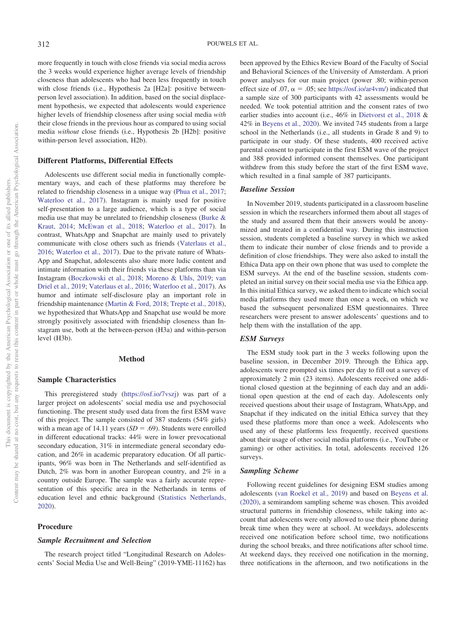more frequently in touch with close friends via social media across the 3 weeks would experience higher average levels of friendship closeness than adolescents who had been less frequently in touch with close friends (i.e., Hypothesis 2a [H2a]: positive betweenperson level association). In addition, based on the social displacement hypothesis, we expected that adolescents would experience higher levels of friendship closeness after using social media *with* their close friends in the previous hour as compared to using social media *without* close friends (i.e., Hypothesis 2b [H2b]: positive within-person level association, H2b).

#### **Different Platforms, Differential Effects**

Adolescents use different social media in functionally complementary ways, and each of these platforms may therefore be related to friendship closeness in a unique way [\(Phua et al., 2017;](#page-13-19) [Waterloo et al., 2017\)](#page-14-2). Instagram is mainly used for positive self-presentation to a large audience, which is a type of social media use that may be unrelated to friendship closeness [\(Burke &](#page-12-14) [Kraut, 2014;](#page-12-14) [McEwan et al., 2018;](#page-13-20) [Waterloo et al., 2017\)](#page-14-2). In contrast, WhatsApp and Snapchat are mainly used to privately communicate with close others such as friends [\(Vaterlaus et al.,](#page-14-7) [2016;](#page-14-7) [Waterloo et al., 2017\)](#page-14-2). Due to the private nature of Whats-App and Snapchat, adolescents also share more ludic content and intimate information with their friends via these platforms than via Instagram [\(Boczkowski et al., 2018;](#page-12-18) [Moreno & Uhls, 2019;](#page-13-12) [van](#page-14-0) [Driel et al., 2019;](#page-14-0) [Vaterlaus et al., 2016;](#page-14-7) [Waterloo et al., 2017\)](#page-14-2). As humor and intimate self-disclosure play an important role in friendship maintenance [\(Martin & Ford, 2018;](#page-13-21) [Trepte et al., 2018\)](#page-13-11), we hypothesized that WhatsApp and Snapchat use would be more strongly positively associated with friendship closeness than Instagram use, both at the between-person (H3a) and within-person level (H3b).

### **Method**

# **Sample Characteristics**

This preregistered study [\(https://osf.io/7vszj\)](https://osf.io/7vszj) was part of a larger project on adolescents' social media use and psychosocial functioning. The present study used data from the first ESM wave of this project. The sample consisted of 387 students (54% girls) with a mean age of  $14.11$  years ( $SD = .69$ ). Students were enrolled in different educational tracks: 44% were in lower prevocational secondary education, 31% in intermediate general secondary education, and 26% in academic preparatory education. Of all participants, 96% was born in The Netherlands and self-identified as Dutch, 2% was born in another European country, and 2% in a country outside Europe. The sample was a fairly accurate representation of this specific area in the Netherlands in terms of education level and ethnic background [\(Statistics Netherlands,](#page-13-22) [2020\)](#page-13-22).

## **Procedure**

#### *Sample Recruitment and Selection*

The research project titled "Longitudinal Research on Adolescents' Social Media Use and Well-Being" (2019-YME-11162) has been approved by the Ethics Review Board of the Faculty of Social and Behavioral Sciences of the University of Amsterdam. A priori power analyses for our main project (power .80; within-person effect size of .07,  $\alpha = .05$ ; see [https://osf.io/ar4vm/\)](https://osf.io/ar4vm/) indicated that a sample size of 300 participants with 42 assessments would be needed. We took potential attrition and the consent rates of two earlier studies into account (i.e., 46% in [Dietvorst et al., 2018](#page-12-19) & 42% in [Beyens et al., 2020\)](#page-12-13). We invited 745 students from a large school in the Netherlands (i.e., all students in Grade 8 and 9) to participate in our study. Of these students, 400 received active parental consent to participate in the first ESM wave of the project and 388 provided informed consent themselves. One participant withdrew from this study before the start of the first ESM wave, which resulted in a final sample of 387 participants.

# *Baseline Session*

In November 2019, students participated in a classroom baseline session in which the researchers informed them about all stages of the study and assured them that their answers would be anonymized and treated in a confidential way. During this instruction session, students completed a baseline survey in which we asked them to indicate their number of close friends and to provide a definition of close friendships. They were also asked to install the Ethica Data app on their own phone that was used to complete the ESM surveys. At the end of the baseline session, students completed an initial survey on their social media use via the Ethica app. In this initial Ethica survey, we asked them to indicate which social media platforms they used more than once a week, on which we based the subsequent personalized ESM questionnaires. Three researchers were present to answer adolescents' questions and to help them with the installation of the app.

### *ESM Surveys*

The ESM study took part in the 3 weeks following upon the baseline session, in December 2019. Through the Ethica app, adolescents were prompted six times per day to fill out a survey of approximately 2 min (23 items). Adolescents received one additional closed question at the beginning of each day and an additional open question at the end of each day. Adolescents only received questions about their usage of Instagram, WhatsApp, and Snapchat if they indicated on the initial Ethica survey that they used these platforms more than once a week. Adolescents who used any of these platforms less frequently, received questions about their usage of other social media platforms (i.e., YouTube or gaming) or other activities. In total, adolescents received 126 surveys.

#### *Sampling Scheme*

Following recent guidelines for designing ESM studies among adolescents [\(van Roekel et al., 2019\)](#page-14-8) and based on [Beyens et al.](#page-12-13) [\(2020\),](#page-12-13) a semirandom sampling scheme was chosen. This avoided structural patterns in friendship closeness, while taking into account that adolescents were only allowed to use their phone during break time when they were at school. At weekdays, adolescents received one notification before school time, two notifications during the school breaks, and three notifications after school time. At weekend days, they received one notification in the morning, three notifications in the afternoon, and two notifications in the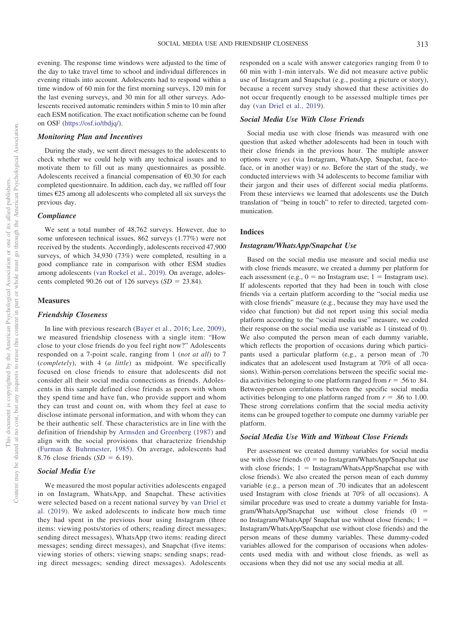evening. The response time windows were adjusted to the time of the day to take travel time to school and individual differences in evening rituals into account. Adolescents had to respond within a time window of 60 min for the first morning surveys, 120 min for the last evening surveys, and 30 min for all other surveys. Adolescents received automatic reminders within 5 min to 10 min after each ESM notification. The exact notification scheme can be found on OSF [\(https://osf.io/tbdjq/\)](https://osf.io/tbdjq/).

# *Monitoring Plan and Incentives*

During the study, we sent direct messages to the adolescents to check whether we could help with any technical issues and to motivate them to fill out as many questionnaires as possible. Adolescents received a financial compensation of €0.30 for each completed questionnaire. In addition, each day, we raffled off four times €25 among all adolescents who completed all six surveys the previous day.

# *Compliance*

We sent a total number of 48,762 surveys. However, due to some unforeseen technical issues, 862 surveys (1.77%) were not received by the students. Accordingly, adolescents received 47,900 surveys, of which 34,930 (73%) were completed, resulting in a good compliance rate in comparison with other ESM studies among adolescents [\(van Roekel et al., 2019\)](#page-14-8). On average, adolescents completed 90.26 out of 126 surveys  $(SD = 23.84)$ .

### **Measures**

## *Friendship Closeness*

In line with previous research [\(Bayer et al., 2016;](#page-12-10) [Lee, 2009\)](#page-13-9), we measured friendship closeness with a single item: "How close to your close friends do you feel right now?" Adolescents responded on a 7-point scale, ranging from 1 (*not at all*) to 7 (*completely*), with 4 (*a little*) as midpoint. We specifically focused on close friends to ensure that adolescents did not consider all their social media connections as friends. Adolescents in this sample defined close friends as peers with whom they spend time and have fun, who provide support and whom they can trust and count on, with whom they feel at ease to disclose intimate personal information, and with whom they can be their authentic self. These characteristics are in line with the definition of friendship by [Armsden and Greenberg \(1987\)](#page-12-1) and align with the social provisions that characterize friendship [\(Furman & Buhrmester, 1985\)](#page-12-2). On average, adolescents had 8.76 close friends  $(SD = 6.19)$ .

#### *Social Media Use*

We measured the most popular activities adolescents engaged in on Instagram, WhatsApp, and Snapchat. These activities were selected based on a recent national survey by [van Driel et](#page-14-0) [al. \(2019\).](#page-14-0) We asked adolescents to indicate how much time they had spent in the previous hour using Instagram (three items: viewing posts/stories of others; reading direct messages; sending direct messages), WhatsApp (two items: reading direct messages; sending direct messages), and Snapchat (five items: viewing stories of others; viewing snaps; sending snaps; reading direct messages; sending direct messages). Adolescents responded on a scale with answer categories ranging from 0 to 60 min with 1-min intervals. We did not measure active public use of Instagram and Snapchat (e.g., posting a picture or story), because a recent survey study showed that these activities do not occur frequently enough to be assessed multiple times per day [\(van Driel et al., 2019\)](#page-14-0).

## *Social Media Use With Close Friends*

Social media use with close friends was measured with one question that asked whether adolescents had been in touch with their close friends in the previous hour. The multiple answer options were *yes* (via Instagram, WhatsApp, Snapchat, face-toface, or in another way) or *no*. Before the start of the study, we conducted interviews with 34 adolescents to become familiar with their jargon and their uses of different social media platforms. From these interviews we learned that adolescents use the Dutch translation of "being in touch" to refer to directed, targeted communication.

# **Indices**

# *Instagram/WhatsApp/Snapchat Use*

Based on the social media use measure and social media use with close friends measure, we created a dummy per platform for each assessment (e.g.,  $0 =$  no Instagram use;  $1 =$  Instagram use). If adolescents reported that they had been in touch with close friends via a certain platform according to the "social media use with close friends" measure (e.g., because they may have used the video chat function) but did not report using this social media platform according to the "social media use" measure, we coded their response on the social media use variable as 1 (instead of 0). We also computed the person mean of each dummy variable, which reflects the proportion of occasions during which participants used a particular platform (e.g., a person mean of .70 indicates that an adolescent used Instagram at 70% of all occasions). Within-person correlations between the specific social media activities belonging to one platform ranged from  $r = .56$  to  $.84$ . Between-person correlations between the specific social media activities belonging to one platform ranged from  $r = .86$  to 1.00. These strong correlations confirm that the social media activity items can be grouped together to compute one dummy variable per platform.

# *Social Media Use With and Without Close Friends*

Per assessment we created dummy variables for social media use with close friends  $(0 = no$  Instagram/WhatsApp/Snapchat use with close friends;  $1 =$  Instagram/WhatsApp/Snapchat use with close friends). We also created the person mean of each dummy variable (e.g., a person mean of .70 indicates that an adolescent used Instagram with close friends at 70% of all occasions). A similar procedure was used to create a dummy variable for Insta $gram/WhatsApp/Snapchat$  use without close friends  $(0 =$ no Instagram/WhatsApp/ Snapchat use without close friends;  $1 =$ Instagram/WhatsApp/Snapchat use without close friends) and the person means of these dummy variables. These dummy-coded variables allowed for the comparison of occasions when adolescents used media with and without close friends, as well as occasions when they did not use any social media at all.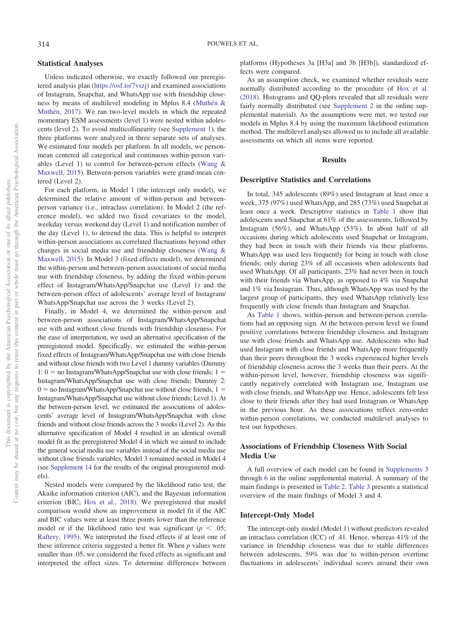# **Statistical Analyses**

Unless indicated otherwise, we exactly followed our preregistered analysis plan [\(https://osf.io/7vszj\)](https://osf.io/7vszj) and examined associations of Instagram, Snapchat, and WhatsApp use with friendship closeness by means of multilevel modeling in Mplus 8.4 [\(Muthén &](#page-13-23) [Muthén, 2017\)](#page-13-23). We ran two-level models in which the repeated momentary ESM assessments (level 1) were nested within adolescents (level 2). To avoid multicollinearity (see [Supplement 1\)](https://doi.org/10.1037/dev0001148.supp), the three platforms were analyzed in three separate sets of analyses. We estimated four models per platform. In all models, we personmean centered all categorical and continuous within-person variables (Level 1) to control for between-person effects [\(Wang &](#page-14-9) [Maxwell, 2015\)](#page-14-9). Between-person variables were grand-mean centered (Level 2).

For each platform, in Model 1 (the intercept only model), we determined the relative amount of within-person and betweenperson variance (i.e., intraclass correlation). In Model 2 (the reference model), we added two fixed covariates to the model, weekday versus weekend day (Level 1) and notification number of the day (Level 1), to detrend the data. This is helpful to interpret within-person associations as correlated fluctuations beyond other changes in social media use and friendship closeness [\(Wang &](#page-14-9) [Maxwell, 2015\)](#page-14-9). In Model 3 (fixed effects model), we determined the within-person and between-person associations of social media use with friendship closeness, by adding the fixed within-person effect of Instagram/WhatsApp/Snapchat use (Level 1) and the between-person effect of adolescents' average level of Instagram/ WhatsApp/Snapchat use across the 3 weeks (Level 2).

Finally, in Model 4, we determined the within-person and between-person associations of Instagram/WhatsApp/Snapchat use with and without close friends with friendship closeness. For the ease of interpretation, we used an alternative specification of the preregistered model. Specifically, we estimated the within-person fixed effects of Instagram/WhatsApp/Snapchat use with close friends and without close friends with two Level 1 dummy variables (Dummy  $1: 0 =$  no Instagram/WhatsApp/Snapchat use with close friends;  $1 =$ Instagram/WhatsApp/Snapchat use with close friends; Dummy 2:  $0 =$  no Instagram/WhatsApp/Snapchat use without close friends,  $1 =$ Instagram/WhatsApp/Snapchat use without close friends; Level 1). At the between-person level, we estimated the associations of adolescents' average level of Instagram/WhatsApp/Snapchat with close friends and without close friends across the 3 weeks (Level 2). As this alternative specification of Model 4 resulted in an identical overall model fit as the preregistered Model 4 in which we aimed to include the general social media use variables instead of the social media use without close friends variables, Model 3 remained nested in Model 4 (see [Supplement 14](https://doi.org/10.1037/dev0001148.supp) for the results of the original preregistered models).

Nested models were compared by the likelihood ratio test, the Akaike information criterion (AIC), and the Bayesian information criterion (BIC; [Hox et al., 2018\)](#page-12-20). We preregistered that model comparison would show an improvement in model fit if the AIC and BIC values were at least three points lower than the reference model or if the likelihood ratio test was significant ( $p < .05$ ; [Raftery, 1995\)](#page-13-24). We interpreted the fixed effects if at least one of these inference criteria suggested a better fit. When *p* values were smaller than .05, we considered the fixed effects as significant and interpreted the effect sizes. To determine differences between

platforms (Hypotheses 3a [H3a] and 3b [H3b]), standardized effects were compared.

As an assumption check, we examined whether residuals were normally distributed according to the procedure of [Hox et al.](#page-12-20) [\(2018\).](#page-12-20) Histograms and QQ-plots revealed that all residuals were fairly normally distributed (see [Supplement 2](https://doi.org/10.1037/dev0001148.supp) in the online supplemental material). As the assumptions were met, we tested our models in Mplus 8.4 by using the maximum likelihood estimation method. The multilevel analyses allowed us to include all available assessments on which all items were reported.

## **Results**

#### **Descriptive Statistics and Correlations**

In total, 345 adolescents (89%) used Instagram at least once a week, 375 (97%) used WhatsApp, and 285 (73%) used Snapchat at least once a week. Descriptive statistics in [Table 1](#page-6-0) show that adolescents used Snapchat at 61% of the assessments, followed by Instagram (56%), and WhatsApp (53%). In about half of all occasions during which adolescents used Snapchat or Instagram, they had been in touch with their friends via these platforms. WhatsApp was used less frequently for being in touch with close friends; only during 23% of all occasions when adolescents had used WhatsApp. Of all participants, 23% had never been in touch with their friends via WhatsApp, as opposed to 4% via Snapchat and 1% via Instagram. Thus, although WhatsApp was used by the largest group of participants, they used WhatsApp relatively less frequently with close friends than Instagram and Snapchat.

As [Table 1](#page-6-0) shows, within-person and between-person correlations had an opposing sign. At the between-person level we found positive correlations between friendship closeness and Instagram use with close friends and WhatsApp use. Adolescents who had used Instagram with close friends and WhatsApp more frequently than their peers throughout the 3 weeks experienced higher levels of friendship closeness across the 3 weeks than their peers. At the within-person level, however, friendship closeness was significantly negatively correlated with Instagram use, Instagram use with close friends, and WhatsApp use. Hence, adolescents felt less close to their friends after they had used Instagram or WhatsApp in the previous hour. As these associations reflect zero-order within-person correlations, we conducted multilevel analyses to test our hypotheses.

# **Associations of Friendship Closeness With Social Media Use**

A full overview of each model can be found in [Supplements 3](https://doi.org/10.1037/dev0001148.supp) through [6](https://doi.org/10.1037/dev0001148.supp) in the online supplemental material. A summary of the main findings is presented in [Table 2.](#page-6-1) [Table 3](#page-7-0) presents a statistical overview of the main findings of Model 3 and 4.

#### **Intercept-Only Model**

The intercept-only model (Model 1) without predictors revealed an intraclass correlation (ICC) of .41. Hence, whereas 41% of the variance in friendship closeness was due to stable differences between adolescents, 59% was due to within-person overtime fluctuations in adolescents' individual scores around their own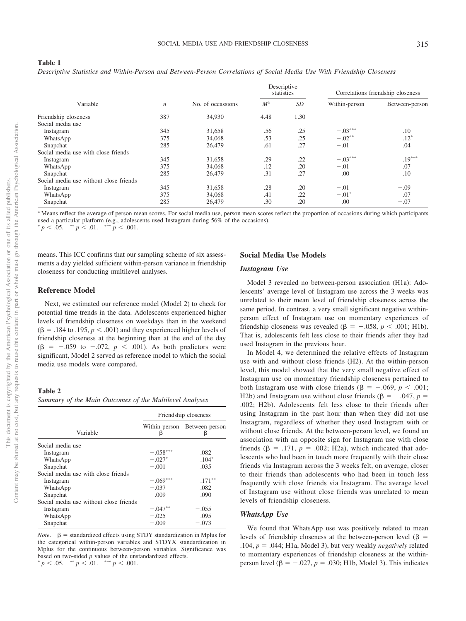|                                        |                  |                   |             | Descriptive<br>statistics |               | Correlations friendship closeness |  |
|----------------------------------------|------------------|-------------------|-------------|---------------------------|---------------|-----------------------------------|--|
| Variable                               | $\boldsymbol{n}$ | No. of occassions | $M^{\rm a}$ | SD                        | Within-person | Between-person                    |  |
| Friendship closeness                   | 387              | 34,930            | 4.48        | 1.30                      |               |                                   |  |
| Social media use                       |                  |                   |             |                           |               |                                   |  |
| Instagram                              | 345              | 31,658            | .56         | .25                       | $-.03***$     | .10                               |  |
| WhatsApp                               | 375              | 34,068            | .53         | .25                       | $-.02**$      | $.12*$                            |  |
| Snapchat                               | 285              | 26,479            | .61         | .27                       | $-.01$        | .04                               |  |
| Social media use with close friends    |                  |                   |             |                           |               |                                   |  |
| Instagram                              | 345              | 31,658            | .29         | .22                       | $-.03***$     | $.19***$                          |  |
| WhatsApp                               | 375              | 34,068            | .12         | .20                       | $-.01$        | .07                               |  |
| Snapchat                               | 285              | 26,479            | .31         | .27                       | .00           | .10                               |  |
| Social media use without close friends |                  |                   |             |                           |               |                                   |  |
| Instagram                              | 345              | 31,658            | .28         | .20                       | $-.01$        | $-.09$                            |  |
| WhatsApp                               | 375              | 34,068            | .41         | .22                       | $-.01*$       | .07                               |  |
| Snapchat                               | 285              | 26,479            | .30         | .20                       | .00           | $-.07$                            |  |

*Descriptive Statistics and Within-Person and Between-Person Correlations of Social Media Use With Friendship Closeness*

a Means reflect the average of person mean scores. For social media use, person mean scores reflect the proportion of occasions during which participants used a particular platform (e.g., adolescents used Instagram during 56% of the occasions).

 $p < .05.$  \*\*  $p < .01.$  \*\*\*  $p < .001.$ 

means. This ICC confirms that our sampling scheme of six assessments a day yielded sufficient within-person variance in friendship closeness for conducting multilevel analyses.

# **Reference Model**

<span id="page-6-0"></span>**Table 1**

Next, we estimated our reference model (Model 2) to check for potential time trends in the data. Adolescents experienced higher levels of friendship closeness on weekdays than in the weekend  $(\beta = .184$  to  $.195, p < .001$ ) and they experienced higher levels of friendship closeness at the beginning than at the end of the day  $(\beta = -.059 \text{ to } -.072, p < .001)$ . As both predictors were significant, Model 2 served as reference model to which the social media use models were compared.

#### <span id="page-6-1"></span>**Table 2**

*Summary of the Main Outcomes of the Multilevel Analyses*

|                                        |                    | Friendship closeness |  |
|----------------------------------------|--------------------|----------------------|--|
| Variable                               | Within-person<br>β | Between-person<br>β  |  |
| Social media use                       |                    |                      |  |
| Instagram                              | $-.058***$         | .082                 |  |
| WhatsApp                               | $-.027*$           | $.104*$              |  |
| Snapchat                               | $-.001$            | .035                 |  |
| Social media use with close friends    |                    |                      |  |
| Instagram                              | $-.069***$         | $.171***$            |  |
| WhatsApp                               | $-.037$            | .082                 |  |
| Snapchat                               | .009               | .090                 |  |
| Social media use without close friends |                    |                      |  |
| Instagram                              | $-.047***$         | $-.055$              |  |
| WhatsApp                               | $-.025$            | .095                 |  |
| Snapchat                               | $-.009$            | $-.073$              |  |

*Note*.  $\beta$  = standardized effects using STDY standardization in Mplus for the categorical within-person variables and STDYX standardization in Mplus for the continuous between-person variables. Significance was based on two-sided *<sup>p</sup>* values of the unstandardized effects.  $p < .05.$  \*\*  $p < .01.$  \*\*\*  $p < .001.$ 

## **Social Media Use Models**

#### *Instagram Use*

Model 3 revealed no between-person association (H1a): Adolescents' average level of Instagram use across the 3 weeks was unrelated to their mean level of friendship closeness across the same period. In contrast, a very small significant negative withinperson effect of Instagram use on momentary experiences of friendship closeness was revealed ( $\beta = -.058$ ,  $p < .001$ ; H1b). That is, adolescents felt less close to their friends after they had used Instagram in the previous hour.

In Model 4, we determined the relative effects of Instagram use with and without close friends (H2). At the within-person level, this model showed that the very small negative effect of Instagram use on momentary friendship closeness pertained to both Instagram use with close friends ( $\beta = -.069$ ,  $p < .001$ ; H2b) and Instagram use without close friends ( $\beta = -.047$ ,  $p =$ .002; H2b). Adolescents felt less close to their friends after using Instagram in the past hour than when they did not use Instagram, regardless of whether they used Instagram with or without close friends. At the between-person level, we found an association with an opposite sign for Instagram use with close friends  $(\beta = .171, p = .002; H2a)$ , which indicated that adolescents who had been in touch more frequently with their close friends via Instagram across the 3 weeks felt, on average, closer to their friends than adolescents who had been in touch less frequently with close friends via Instagram. The average level of Instagram use without close friends was unrelated to mean levels of friendship closeness.

## *WhatsApp Use*

We found that WhatsApp use was positively related to mean levels of friendship closeness at the between-person level ( $\beta$  =  $.104, p = .044$ ; H1a, Model 3), but very weakly *negatively* related to momentary experiences of friendship closeness at the withinperson level  $(\beta = -.027, p = .030; H1b, Model 3)$ . This indicates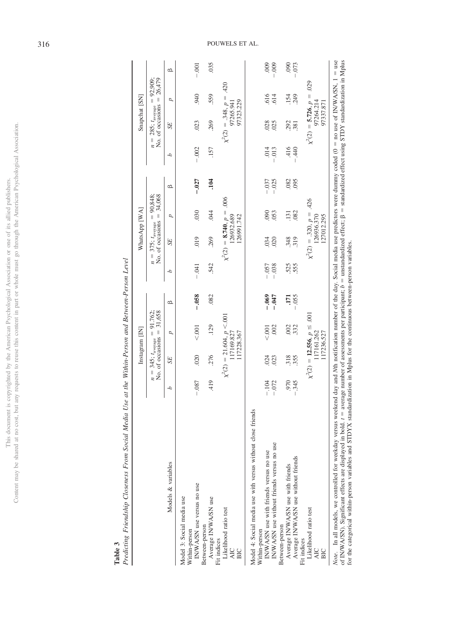|                        | l                  |
|------------------------|--------------------|
|                        |                    |
|                        |                    |
|                        |                    |
|                        |                    |
|                        |                    |
|                        |                    |
|                        | C<br>C<br>j        |
|                        | J<br>j             |
|                        | ì<br>I<br>Ĵ        |
|                        |                    |
| į<br>Î                 |                    |
|                        | I<br>ì             |
|                        |                    |
|                        | J                  |
|                        | J                  |
| 1                      |                    |
|                        |                    |
|                        | ֩                  |
|                        |                    |
|                        | ١İ                 |
|                        | さいしょう こうかい<br>J    |
|                        | İ                  |
|                        | j                  |
| ļ<br>i                 | į<br>ū             |
|                        | j<br>ĵ             |
|                        | š                  |
|                        |                    |
| $\frac{1}{2}$<br>ś     |                    |
|                        |                    |
| í                      |                    |
| š<br>i<br>j            |                    |
| 21<br>)                | J                  |
| ì                      | ١                  |
| j                      |                    |
| 5                      |                    |
| í                      | $\frac{1}{2}$<br>š |
| i                      |                    |
|                        | Ì<br>ì             |
| J                      |                    |
|                        | Ξ                  |
|                        | ֚֘֝                |
| ≌<br>j                 | ś                  |
|                        | j<br>ï             |
| j                      |                    |
| ł                      | ֦                  |
| į<br>ł                 | ĵ<br>֩             |
| j<br>Į<br>j            | ŧ<br>j             |
| $\frac{1}{2}$          | j<br>ì             |
| ĺ<br>j<br>ì            |                    |
| i<br>J                 | í                  |
|                        |                    |
| <b>Control Control</b> | j                  |
|                        |                    |
|                        |                    |
|                        |                    |
|                        | I                  |
|                        |                    |
| i                      |                    |
|                        |                    |
|                        |                    |
|                        |                    |
|                        |                    |
|                        |                    |
|                        | mav                |
|                        | $\frac{1}{2}$      |
|                        |                    |
|                        | Contei             |
|                        |                    |

<span id="page-7-0"></span>

**Table 3**<br>*Predicting Friendship Closeness From Social Media Use at the Within-Person and Between-Person Level* Predicting Friendship Closeness From Social Media Use at the Within-Person and Between-Person Level

|                                                                                                                                                                                 |                |                               | Instagram [IN]                                               |                 |         |                                  | WhatsApp [WA]                                            |             |            |                                  | Snapchat [SN]                             |                |
|---------------------------------------------------------------------------------------------------------------------------------------------------------------------------------|----------------|-------------------------------|--------------------------------------------------------------|-----------------|---------|----------------------------------|----------------------------------------------------------|-------------|------------|----------------------------------|-------------------------------------------|----------------|
|                                                                                                                                                                                 | $\overline{n}$ | $=$ 345; $t_{\text{average}}$ | $= 91.762;$<br>No. of occasions $=$ 31,658                   |                 |         | $n = 375$ ; $t_{\text{average}}$ | No. of occasions $=$ 34,068<br>90,848;<br>$\mathbf{I}$   |             |            | $n = 285$ ; $t_{\text{average}}$ | No. of occasions $= 26,479$<br>$= 92,909$ |                |
| Models & variables                                                                                                                                                              | Δ              | SE <sub></sub>                | Þ                                                            | മ               | م       | SE                               | ρ                                                        | മ           | Р          | <b>SE</b>                        | p                                         | മ              |
| IN/WA/SN use versus no use<br>Model 3: Social media use<br>Within-person                                                                                                        | $-.087$        | 020                           | < 001                                                        | $-0.58$         | $-.041$ | .019                             | 030                                                      | $-0.027$    | $-.002$    | 023                              | 940                                       | $-.001$        |
| Average IN/WA/SN use<br>Between-person<br>Fit indices                                                                                                                           | .419           | 276                           | .129                                                         | .082            | .542    | 269                              | 644                                                      | .104        | .157       | 269                              | 559                                       | 035            |
| Likelihood ratio test<br><b>AIC</b><br>BIC                                                                                                                                      |                |                               | $\chi^2(2) = 21.604, p < 0.001$<br>117228.367<br>117169.827  |                 |         |                                  | $\chi^2(2) = 8.740, p = .006$<br>126932.689<br>26991.742 |             |            | $\chi^2(2) = .348, p =$          | .420<br>97323.229<br>97265.941            |                |
| Model 4: Social media use with versus without close friends<br>IN/WA/SN use with friends versus no use<br>Within-person                                                         | $-.104$        |                               | < 001                                                        | $-0.069$        | $-.057$ | .034                             | 000                                                      | $-.037$     | .014       | 028                              |                                           | $600$ .        |
| IN/WA/SN use without friends versus no use                                                                                                                                      | $-.072$        | 024<br>023                    | .002                                                         | $-0.047$        | $-.038$ | 020                              | 053                                                      | $-.025$     | 013        | 025                              | .616<br>614                               | $-.009$        |
| Average IN/WA/SN use without friends<br>Average IN/WA/SN use with friends<br>Between-person<br>Fit indices                                                                      | 970<br>$-.345$ | 318<br>355                    | 002<br>332                                                   | $-.055$<br>I7I. | 555     | .348<br>319                      | .082<br>$\overline{.}131$                                | .082<br>095 | 416<br>440 | 292<br>.381                      | 249<br>.154                               | 000<br>$-.073$ |
| Likelihood ratio test<br>AIC<br>BIC                                                                                                                                             |                |                               | $\chi^2(2) = 12.556, p \le .001$<br>117161.262<br>117236.527 |                 |         |                                  | $\chi^2(2) = .320, p = .426$<br>126936.370<br>127012.295 |             |            | $\chi^2(2) = 5.726, p =$         | .029<br>97264.214<br>97337.871            |                |
| Note. In all models, we controlled for weekday versus weekend day and Nth notification number of the day. Social media use predictors were dummy coded (0 = no use of IN/WA/SN, |                |                               |                                                              |                 |         |                                  |                                                          |             |            |                                  |                                           | $=$ use        |

of IN/WA/SN). Significant effects are displayed in bold.  $t =$  average number of assessments per participant;  $b =$  unstandardized effect;  $\beta =$  standardized effect using STDY standardization in Mplus for the categorical wi standardized effect using STDY standardization in Mplus *Note*. In all models, we controlled for weekday versus weekend day and *N*th notification number of the day. Social media use predictors were dummy coded (0 - $=$  unstandardized effect;  $\beta =$ for the categorical within-person variables and STDYX standardization in Mplus for the continuous between-person variables.  $=$  average number of assessments per participant;  $b =$ of IN/WA/SN). Significant effects are displayed in bold. *t* -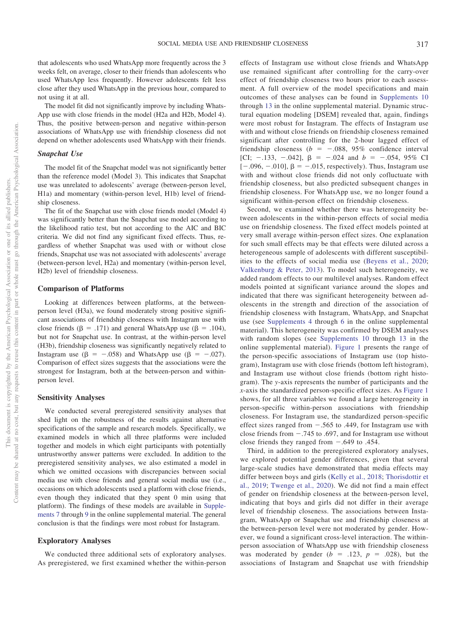that adolescents who used WhatsApp more frequently across the 3 weeks felt, on average, closer to their friends than adolescents who used WhatsApp less frequently. However adolescents felt less close after they used WhatsApp in the previous hour, compared to not using it at all.

The model fit did not significantly improve by including Whats-App use with close friends in the model (H2a and H2b, Model 4). Thus, the positive between-person and negative within-person associations of WhatsApp use with friendship closeness did not depend on whether adolescents used WhatsApp with their friends.

# *Snapchat Use*

The model fit of the Snapchat model was not significantly better than the reference model (Model 3). This indicates that Snapchat use was unrelated to adolescents' average (between-person level, H1a) and momentary (within-person level, H1b) level of friendship closeness.

The fit of the Snapchat use with close friends model (Model 4) was significantly better than the Snapchat use model according to the likelihood ratio test, but not according to the AIC and BIC criteria. We did not find any significant fixed effects. Thus, regardless of whether Snapchat was used with or without close friends, Snapchat use was not associated with adolescents' average (between-person level, H2a) and momentary (within-person level, H2b) level of friendship closeness.

#### **Comparison of Platforms**

Looking at differences between platforms, at the betweenperson level (H3a), we found moderately strong positive significant associations of friendship closeness with Instagram use with close friends ( $\beta = .171$ ) and general WhatsApp use ( $\beta = .104$ ), but not for Snapchat use. In contrast, at the within-person level (H3b), friendship closeness was significantly negatively related to Instagram use ( $\beta = -.058$ ) and WhatsApp use ( $\beta = -.027$ ). Comparison of effect sizes suggests that the associations were the strongest for Instagram, both at the between-person and withinperson level.

# **Sensitivity Analyses**

We conducted several preregistered sensitivity analyses that shed light on the robustness of the results against alternative specifications of the sample and research models. Specifically, we examined models in which all three platforms were included together and models in which eight participants with potentially untrustworthy answer patterns were excluded. In addition to the preregistered sensitivity analyses, we also estimated a model in which we omitted occasions with discrepancies between social media use with close friends and general social media use (i.e., occasions on which adolescents used a platform with close friends, even though they indicated that they spent 0 min using that platform). The findings of these models are available in [Supple](https://doi.org/10.1037/dev0001148.supp)[ments 7](https://doi.org/10.1037/dev0001148.supp) through [9](https://doi.org/10.1037/dev0001148.supp) in the online supplemental material. The general conclusion is that the findings were most robust for Instagram.

#### **Exploratory Analyses**

We conducted three additional sets of exploratory analyses. As preregistered, we first examined whether the within-person effects of Instagram use without close friends and WhatsApp use remained significant after controlling for the carry-over effect of friendship closeness two hours prior to each assessment. A full overview of the model specifications and main outcomes of these analyses can be found in [Supplements 10](https://doi.org/10.1037/dev0001148.supp) through [13](https://doi.org/10.1037/dev0001148.supp) in the online supplemental material. Dynamic structural equation modeling [DSEM] revealed that, again, findings were most robust for Instagram. The effects of Instagram use with and without close friends on friendship closeness remained significant after controlling for the 2-hour lagged effect of friendship closeness  $(b = -.088, 95\%$  confidence interval [CI;  $-.133$ ,  $-.042$ ],  $\beta = -.024$  and  $b = -.054$ , 95% CI  $[-.096, -.010]$ ,  $\beta = -.015$ , respectively). Thus, Instagram use with and without close friends did not only cofluctuate with friendship closeness, but also predicted subsequent changes in friendship closeness. For WhatsApp use, we no longer found a significant within-person effect on friendship closeness.

Second, we examined whether there was heterogeneity between adolescents in the within-person effects of social media use on friendship closeness. The fixed effect models pointed at very small average within-person effect sizes. One explanation for such small effects may be that effects were diluted across a heterogeneous sample of adolescents with different susceptibilities to the effects of social media use [\(Beyens et al., 2020;](#page-12-13) [Valkenburg & Peter, 2013\)](#page-13-25). To model such heterogeneity, we added random effects to our multilevel analyses. Random effect models pointed at significant variance around the slopes and indicated that there was significant heterogeneity between adolescents in the strength and direction of the association of friendship closeness with Instagram, WhatsApp, and Snapchat use (see [Supplements 4](https://doi.org/10.1037/dev0001148.supp) through [6](https://doi.org/10.1037/dev0001148.supp) in the online supplemental material). This heterogeneity was confirmed by DSEM analyses with random slopes (see [Supplements 10](https://doi.org/10.1037/dev0001148.supp) through [13](https://doi.org/10.1037/dev0001148.supp) in the online supplemental material). [Figure 1](#page-9-0) presents the range of the person-specific associations of Instagram use (top histogram), Instagram use with close friends (bottom left histogram), and Instagram use without close friends (bottom right histogram). The *y*-axis represents the number of participants and the *x*-axis the standardized person-specific effect sizes. As [Figure 1](#page-9-0) shows, for all three variables we found a large heterogeneity in person-specific within-person associations with friendship closeness. For Instagram use, the standardized person-specific effect sizes ranged from  $-.565$  to .449, for Instagram use with close friends from  $-.745$  to .697, and for Instagram use without close friends they ranged from  $-.649$  to .454.

Third, in addition to the preregistered exploratory analyses, we explored potential gender differences, given that several large-scale studies have demonstrated that media effects may differ between boys and girls [\(Kelly et al., 2018;](#page-13-26) [Thorisdottir et](#page-13-27) [al., 2019;](#page-13-27) [Twenge et al., 2020\)](#page-13-28). We did not find a main effect of gender on friendship closeness at the between-person level, indicating that boys and girls did not differ in their average level of friendship closeness. The associations between Instagram, WhatsApp or Snapchat use and friendship closeness at the between-person level were not moderated by gender. However, we found a significant cross-level interaction. The withinperson association of WhatsApp use with friendship closeness was moderated by gender  $(b = .123, p = .028)$ , but the associations of Instagram and Snapchat use with friendship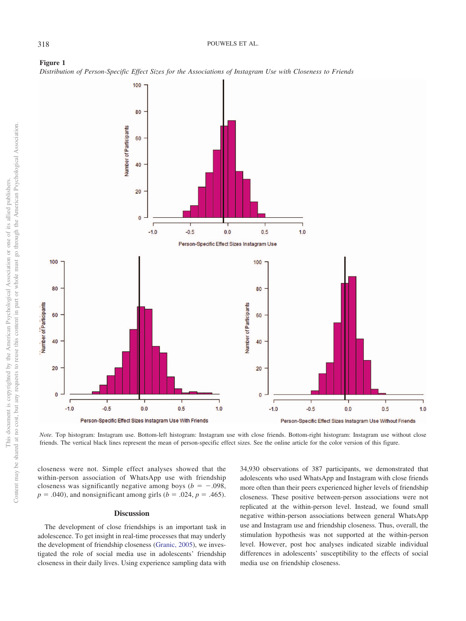<span id="page-9-0"></span>



*Note.* Top histogram: Instagram use. Bottom-left histogram: Instagram use with close friends. Bottom-right histogram: Instagram use without close friends. The vertical black lines represent the mean of person-specific effect sizes. See the online article for the color version of this figure.

closeness were not. Simple effect analyses showed that the within-person association of WhatsApp use with friendship closeness was significantly negative among boys ( $b = -.098$ ,  $p = .040$ , and nonsignificant among girls ( $b = .024$ ,  $p = .465$ ).

#### **Discussion**

The development of close friendships is an important task in adolescence. To get insight in real-time processes that may underly the development of friendship closeness [\(Granic, 2005\)](#page-12-4), we investigated the role of social media use in adolescents' friendship closeness in their daily lives. Using experience sampling data with 34,930 observations of 387 participants, we demonstrated that adolescents who used WhatsApp and Instagram with close friends more often than their peers experienced higher levels of friendship closeness. These positive between-person associations were not replicated at the within-person level. Instead, we found small negative within-person associations between general WhatsApp use and Instagram use and friendship closeness. Thus, overall, the stimulation hypothesis was not supported at the within-person level. However, post hoc analyses indicated sizable individual differences in adolescents' susceptibility to the effects of social media use on friendship closeness.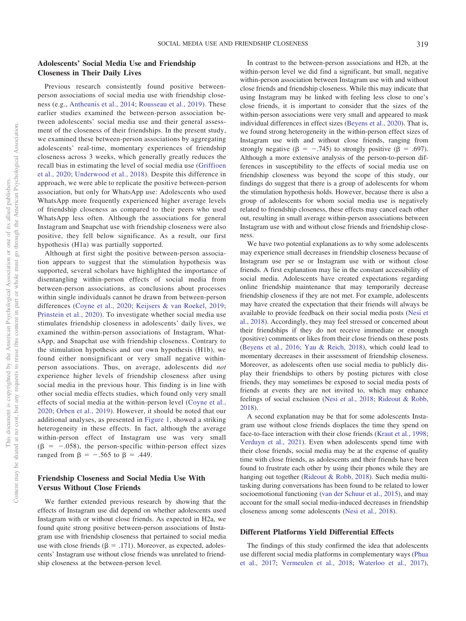# **Adolescents' Social Media Use and Friendship Closeness in Their Daily Lives**

Previous research consistently found positive betweenperson associations of social media use with friendship closeness (e.g., [Antheunis et al., 2014;](#page-12-3) [Rousseau et al., 2019\)](#page-13-3). These earlier studies examined the between-person association between adolescents' social media use and their general assessment of the closeness of their friendships. In the present study, we examined these between-person associations by aggregating adolescents' real-time, momentary experiences of friendship closeness across 3 weeks, which generally greatly reduces the recall bias in estimating the level of social media use [\(Griffioen](#page-12-21) [et al., 2020;](#page-12-21) [Underwood et al., 2018\)](#page-13-29). Despite this difference in approach, we were able to replicate the positive between-person association, but only for WhatsApp use: Adolescents who used WhatsApp more frequently experienced higher average levels of friendship closeness as compared to their peers who used WhatsApp less often. Although the associations for general Instagram and Snapchat use with friendship closeness were also positive, they fell below significance. As a result, our first hypothesis (H1a) was partially supported.

Although at first sight the positive between-person association appears to suggest that the stimulation hypothesis was supported, several scholars have highlighted the importance of disentangling within-person effects of social media from between-person associations, as conclusions about processes within single individuals cannot be drawn from between-person differences [\(Coyne et al., 2020;](#page-12-22) [Keijsers & van Roekel, 2019;](#page-12-23) [Prinstein et al., 2020\)](#page-13-16). To investigate whether social media use stimulates friendship closeness in adolescents' daily lives, we examined the within-person associations of Instagram, WhatsApp, and Snapchat use with friendship closeness. Contrary to the stimulation hypothesis and our own hypothesis (H1b), we found either nonsignificant or very small negative withinperson associations. Thus, on average, adolescents did *not* experience higher levels of friendship closeness after using social media in the previous hour. This finding is in line with other social media effects studies, which found only very small effects of social media at the within-person level [\(Coyne et al.,](#page-12-22) [2020;](#page-12-22) [Orben et al., 2019\)](#page-13-30). However, it should be noted that our additional analyses, as presented in [Figure 1,](#page-9-0) showed a striking heterogeneity in these effects. In fact, although the average within-person effect of Instagram use was very small  $(\beta = -.058)$ , the person-specific within-person effect sizes ranged from  $\beta = -.565$  to  $\beta = .449$ .

# **Friendship Closeness and Social Media Use With Versus Without Close Friends**

We further extended previous research by showing that the effects of Instagram use did depend on whether adolescents used Instagram with or without close friends. As expected in H2a, we found quite strong positive between-person associations of Instagram use with friendship closeness that pertained to social media use with close friends ( $\beta = .171$ ). Moreover, as expected, adolescents' Instagram use without close friends was unrelated to friendship closeness at the between-person level.

In contrast to the between-person associations and H2b, at the within-person level we did find a significant, but small, negative within-person association between Instagram use with and without close friends and friendship closeness. While this may indicate that using Instagram may be linked with feeling less close to one's close friends, it is important to consider that the sizes of the within-person associations were very small and appeared to mask individual differences in effect sizes [\(Beyens et al., 2020\)](#page-12-13). That is, we found strong heterogeneity in the within-person effect sizes of Instagram use with and without close friends, ranging from strongly negative ( $\beta = -.745$ ) to strongly positive ( $\beta = .697$ ). Although a more extensive analysis of the person-to-person differences in susceptibility to the effects of social media use on friendship closeness was beyond the scope of this study, our findings do suggest that there is a group of adolescents for whom the stimulation hypothesis holds. However, because there is also a group of adolescents for whom social media use is negatively related to friendship closeness, these effects may cancel each other out, resulting in small average within-person associations between Instagram use with and without close friends and friendship closeness.

We have two potential explanations as to why some adolescents may experience small decreases in friendship closeness because of Instagram use per se or Instagram use with or without close friends. A first explanation may lie in the constant accessibility of social media. Adolescents have created expectations regarding online friendship maintenance that may temporarily decrease friendship closeness if they are not met. For example, adolescents may have created the expectation that their friends will always be available to provide feedback on their social media posts [\(Nesi et](#page-13-2) [al., 2018\)](#page-13-2). Accordingly, they may feel stressed or concerned about their friendships if they do not receive immediate or enough (positive) comments or likes from their close friends on these posts [\(Beyens et al., 2016;](#page-12-24) [Yau & Reich, 2018\)](#page-14-1), which could lead to momentary decreases in their assessment of friendship closeness. Moreover, as adolescents often use social media to publicly display their friendships to others by posting pictures with close friends, they may sometimes be exposed to social media posts of friends at events they are not invited to, which may enhance feelings of social exclusion [\(Nesi et al., 2018;](#page-13-2) [Rideout & Robb,](#page-13-1) [2018\)](#page-13-1).

A second explanation may be that for some adolescents Instagram use without close friends displaces the time they spend on face-to-face interaction with their close friends [\(Kraut et al., 1998;](#page-13-18) [Verduyn et al., 2021\)](#page-14-5). Even when adolescents spend time with their close friends, social media may be at the expense of quality time with close friends, as adolescents and their friends have been found to frustrate each other by using their phones while they are hanging out together [\(Rideout & Robb, 2018\)](#page-13-1). Such media multitasking during conversations has been found to be related to lower socioemotional functioning [\(van der Schuur et al., 2015\)](#page-13-31), and may account for the small social media-induced decreases in friendship closeness among some adolescents [\(Nesi et al., 2018\)](#page-13-2).

#### **Different Platforms Yield Differential Effects**

The findings of this study confirmed the idea that adolescents use different social media platforms in complementary ways [\(Phua](#page-13-19) [et al., 2017;](#page-13-19) [Vermeulen et al., 2018;](#page-14-10) [Waterloo et al., 2017\)](#page-14-2),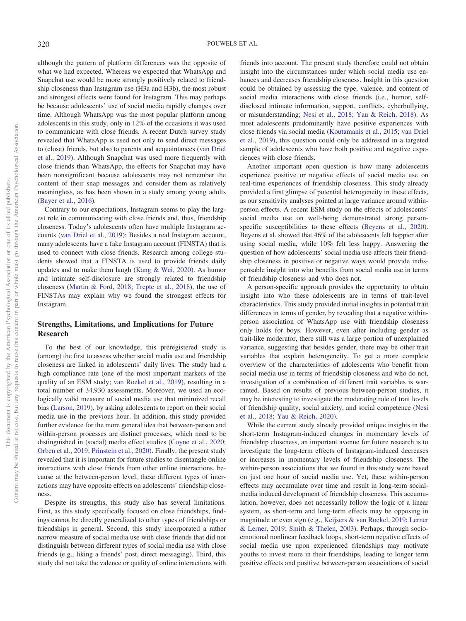although the pattern of platform differences was the opposite of what we had expected. Whereas we expected that WhatsApp and Snapchat use would be more strongly positively related to friendship closeness than Instagram use (H3a and H3b), the most robust and strongest effects were found for Instagram. This may perhaps be because adolescents' use of social media rapidly changes over time. Although WhatsApp was the most popular platform among adolescents in this study, only in 12% of the occasions it was used to communicate with close friends. A recent Dutch survey study revealed that WhatsApp is used not only to send direct messages to (close) friends, but also to parents and acquaintances [\(van Driel](#page-14-0) [et al., 2019\)](#page-14-0). Although Snapchat was used more frequently with close friends than WhatsApp, the effects for Snapchat may have been nonsignificant because adolescents may not remember the content of their snap messages and consider them as relatively meaningless, as has been shown in a study among young adults [\(Bayer et al., 2016\)](#page-12-10).

Contrary to our expectations, Instagram seems to play the largest role in communicating with close friends and, thus, friendship closeness. Today's adolescents often have multiple Instagram accounts [\(van Driel et al., 2019\)](#page-14-0): Besides a real Instagram account, many adolescents have a fake Instagram account (FINSTA) that is used to connect with close friends. Research among college students showed that a FINSTA is used to provide friends daily updates and to make them laugh [\(Kang & Wei, 2020\)](#page-12-25). As humor and intimate self-disclosure are strongly related to friendship closeness [\(Martin & Ford, 2018;](#page-13-21) [Trepte et al., 2018\)](#page-13-11), the use of FINSTAs may explain why we found the strongest effects for Instagram.

# **Strengths, Limitations, and Implications for Future Research**

To the best of our knowledge, this preregistered study is (among) the first to assess whether social media use and friendship closeness are linked in adolescents' daily lives. The study had a high compliance rate (one of the most important markers of the quality of an ESM study; [van Roekel et al., 2019\)](#page-14-8), resulting in a total number of 34,930 assessments. Moreover, we used an ecologically valid measure of social media use that minimized recall bias [\(Larson, 2019\)](#page-13-32), by asking adolescents to report on their social media use in the previous hour. In addition, this study provided further evidence for the more general idea that between-person and within-person processes are distinct processes, which need to be distinguished in (social) media effect studies [\(Coyne et al., 2020;](#page-12-22) [Orben et al., 2019;](#page-13-30) [Prinstein et al., 2020\)](#page-13-16). Finally, the present study revealed that it is important for future studies to disentangle online interactions with close friends from other online interactions, because at the between-person level, these different types of interactions may have opposite effects on adolescents' friendship closeness.

Despite its strengths, this study also has several limitations. First, as this study specifically focused on close friendships, findings cannot be directly generalized to other types of friendships or friendships in general. Second, this study incorporated a rather narrow measure of social media use with close friends that did not distinguish between different types of social media use with close friends (e.g., liking a friends' post, direct messaging). Third, this study did not take the valence or quality of online interactions with

friends into account. The present study therefore could not obtain insight into the circumstances under which social media use enhances and decreases friendship closeness. Insight in this question could be obtained by assessing the type, valence, and content of social media interactions with close friends (i.e., humor, selfdisclosed intimate information, support, conflicts, cyberbullying, or misunderstanding; [Nesi et al., 2018;](#page-13-2) [Yau & Reich, 2018\)](#page-14-1). As most adolescents predominantly have positive experiences with close friends via social media [\(Koutamanis et al., 2015;](#page-13-13) [van Driel](#page-14-0) [et al., 2019\)](#page-14-0), this question could only be addressed in a targeted sample of adolescents who have both positive and negative experiences with close friends.

Another important open question is how many adolescents experience positive or negative effects of social media use on real-time experiences of friendship closeness. This study already provided a first glimpse of potential heterogeneity in these effects, as our sensitivity analyses pointed at large variance around withinperson effects. A recent ESM study on the effects of adolescents' social media use on well-being demonstrated strong personspecific susceptibilities to these effects [\(Beyens et al., 2020\)](#page-12-13). Beyens et al. showed that 46% of the adolescents felt happier after using social media, while 10% felt less happy. Answering the question of how adolescents' social media use affects their friendship closeness in positive or negative ways would provide indispensable insight into who benefits from social media use in terms of friendship closeness and who does not.

A person-specific approach provides the opportunity to obtain insight into who these adolescents are in terms of trait-level characteristics. This study provided initial insights in potential trait differences in terms of gender, by revealing that a negative withinperson association of WhatsApp use with friendship closeness only holds for boys. However, even after including gender as trait-like moderator, there still was a large portion of unexplained variance, suggesting that besides gender, there may be other trait variables that explain heterogeneity. To get a more complete overview of the characteristics of adolescents who benefit from social media use in terms of friendship closeness and who do not, investigation of a combination of different trait variables is warranted. Based on results of previous between-person studies, it may be interesting to investigate the moderating role of trait levels of friendship quality, social anxiety, and social competence [\(Nesi](#page-13-2) [et al., 2018;](#page-13-2) [Yau & Reich, 2020\)](#page-14-11).

While the current study already provided unique insights in the short-term Instagram-induced changes in momentary levels of friendship closeness, an important avenue for future research is to investigate the long-term effects of Instagram-induced decreases or increases in momentary levels of friendship closeness. The within-person associations that we found in this study were based on just one hour of social media use. Yet, these within-person effects may accumulate over time and result in long-term socialmedia induced development of friendship closeness. This accumulation, however, does not necessarily follow the logic of a linear system, as short-term and long-term effects may be opposing in magnitude or even sign (e.g., [Keijsers & van Roekel, 2019;](#page-12-23) [Lerner](#page-13-33) [& Lerner, 2019;](#page-13-33) [Smith & Thelen, 2003\)](#page-13-34). Perhaps, through socioemotional nonlinear feedback loops, short-term negative effects of social media use upon experienced friendships may motivate youths to invest more in their friendships, leading to longer term positive effects and positive between-person associations of social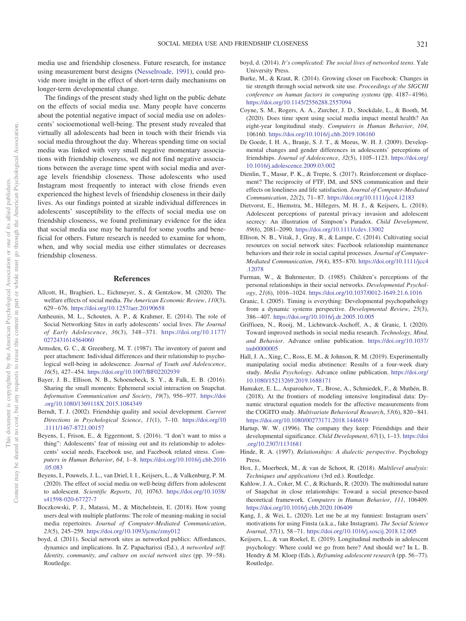media use and friendship closeness. Future research, for instance using measurement burst designs [\(Nesselroade, 1991\)](#page-13-35), could provide more insight in the effect of short-term daily mechanisms on longer-term developmental change.

The findings of the present study shed light on the public debate on the effects of social media use. Many people have concerns about the potential negative impact of social media use on adolescents' socioemotional well-being. The present study revealed that virtually all adolescents had been in touch with their friends via social media throughout the day. Whereas spending time on social media was linked with very small negative momentary associations with friendship closeness, we did not find negative associations between the average time spent with social media and average levels friendship closeness. Those adolescents who used Instagram most frequently to interact with close friends even experienced the highest levels of friendship closeness in their daily lives. As our findings pointed at sizable individual differences in adolescents' susceptibility to the effects of social media use on friendship closeness, we found preliminary evidence for the idea that social media use may be harmful for some youths and beneficial for others. Future research is needed to examine for whom, when, and why social media use either stimulates or decreases friendship closeness.

## **References**

- <span id="page-12-17"></span>Allcott, H., Braghieri, L., Eichmeyer, S., & Gentzkow, M. (2020). The welfare effects of social media. *The American Economic Review*, *110*(3), 629 – 676. <https://doi.org/10.1257/aer.20190658>
- <span id="page-12-3"></span>Antheunis, M. L., Schouten, A. P., & Krahmer, E. (2014). The role of Social Networking Sites in early adolescents' social lives. *The Journal of Early Adolescence*, *36*(3), 348 –371. [https://doi.org/10.1177/](https://doi.org/10.1177/0272431614564060) [0272431614564060](https://doi.org/10.1177/0272431614564060)
- <span id="page-12-1"></span>Armsden, G. C., & Greenberg, M. T. (1987). The inventory of parent and peer attachment: Individual differences and their relationship to psychological well-being in adolescence. *Journal of Youth and Adolescence*, *16*(5), 427– 454. <https://doi.org/10.1007/BF02202939>
- <span id="page-12-10"></span>Bayer, J. B., Ellison, N. B., Schoenebeck, S. Y., & Falk, E. B. (2016). Sharing the small moments: Ephemeral social interaction on Snapchat. *Information Communication and Society*, *19*(7), 956 –977. [https://doi](https://doi.org/10.1080/1369118X.2015.1084349) [.org/10.1080/1369118X.2015.1084349](https://doi.org/10.1080/1369118X.2015.1084349)
- <span id="page-12-0"></span>Berndt, T. J. (2002). Friendship quality and social development. *Current Directions in Psychological Science*, *11*(1), 7–10. [https://doi.org/10](https://doi.org/10.1111/1467-8721.00157) [.1111/1467-8721.00157](https://doi.org/10.1111/1467-8721.00157)
- <span id="page-12-24"></span>Beyens, I., Frison, E., & Eggermont, S. (2016). "I don't want to miss a thing": Adolescents' fear of missing out and its relationship to adolescents' social needs, Facebook use, and Facebook related stress. *Computers in Human Behavior*, *64*, 1– 8. [https://doi.org/10.1016/j.chb.2016](https://doi.org/10.1016/j.chb.2016.05.083) [.05.083](https://doi.org/10.1016/j.chb.2016.05.083)
- <span id="page-12-13"></span>Beyens, I., Pouwels, J. L., van Driel, I. I., Keijsers, L., & Valkenburg, P. M. (2020). The effect of social media on well-being differs from adolescent to adolescent. *Scientific Reports*, *10*, 10763. [https://doi.org/10.1038/](https://doi.org/10.1038/s41598-020-67727-7) [s41598-020-67727-7](https://doi.org/10.1038/s41598-020-67727-7)
- <span id="page-12-18"></span>Boczkowski, P. J., Matassi, M., & Mitchelstein, E. (2018). How young users deal with multiple platforms: The role of meaning-making in social media repertoires. *Journal of Computer-Mediated Communication*, *23*(5), 245–259. <https://doi.org/10.1093/jcmc/zmy012>
- <span id="page-12-11"></span>boyd, d. (2011). Social network sites as networked publics: Affordances, dynamics and implications. In Z. Papacharissi (Ed.), *A networked self: Identity, community, and culture on social network sites* (pp. 39 –58). Routledge.
- <span id="page-12-9"></span>boyd, d. (2014). *It's complicated: The social lives of networked teens*. Yale University Press.
- <span id="page-12-14"></span>Burke, M., & Kraut, R. (2014). Growing closer on Facebook: Changes in tie strength through social network site use. *Proceedings of the SIGCHI conference on human factors in computing systems* (pp. 4187-4196). <https://doi.org/10.1145/2556288.2557094>
- <span id="page-12-22"></span>Coyne, S. M., Rogers, A. A., Zurcher, J. D., Stockdale, L., & Booth, M. (2020). Does time spent using social media impact mental health? An eight-year longitudinal study. *Computers in Human Behavior*, *104*, 106160. <https://doi.org/10.1016/j.chb.2019.106160>
- <span id="page-12-8"></span>De Goede, I. H. A., Branje, S. J. T., & Meeus, W. H. J. (2009). Developmental changes and gender differences in adolescents' perceptions of friendships. *Journal of Adolescence*, *32*(5), 1105–1123. [https://doi.org/](https://doi.org/10.1016/j.adolescence.2009.03.002) [10.1016/j.adolescence.2009.03.002](https://doi.org/10.1016/j.adolescence.2009.03.002)
- <span id="page-12-15"></span>Dienlin, T., Masur, P. K., & Trepte, S. (2017). Reinforcement or displacement? The reciprocity of FTF, IM, and SNS communication and their effects on loneliness and life satisfaction. *Journal of Computer-Mediated Communication*, *22*(2), 71– 87. <https://doi.org/10.1111/jcc4.12183>
- <span id="page-12-19"></span>Dietvorst, E., Hiemstra, M., Hillegers, M. H. J., & Keijsers, L. (2018). Adolescent perceptions of parental privacy invasion and adolescent secrecy: An illustration of Simpson's Paradox. *Child Development*, *89*(6), 2081–2090. <https://doi.org/10.1111/cdev.13002>
- <span id="page-12-12"></span>Ellison, N. B., Vitak, J., Gray, R., & Lampe, C. (2014). Cultivating social resources on social network sites: Facebook relationship maintenance behaviors and their role in social capital processes. *Journal of Computer-Mediated Communication*, *19*(4), 855– 870. [https://doi.org/10.1111/jcc4](https://doi.org/10.1111/jcc4.12078) [.12078](https://doi.org/10.1111/jcc4.12078)
- <span id="page-12-2"></span>Furman, W., & Buhrmester, D. (1985). Children's perceptions of the personal relationships in their social networks. *Developmental Psychology*, *21*(6), 1016 –1024. <https://doi.org/10.1037/0012-1649.21.6.1016>
- <span id="page-12-4"></span>Granic, I. (2005). Timing is everything: Developmental psychopathology from a dynamic systems perspective. *Developmental Review*, *25*(3), 386 – 407. <https://doi.org/10.1016/j.dr.2005.10.005>
- <span id="page-12-21"></span>Griffioen, N., Rooij, M., Lichtwarck-Aschoff, A., & Granic, I. (2020). Toward improved methods in social media research. *Technology, Mind, and Behavior*. Advance online publication. [https://doi.org/10.1037/](https://doi.org/10.1037/tmb0000005) [tmb0000005](https://doi.org/10.1037/tmb0000005)
- <span id="page-12-16"></span>Hall, J. A., Xing, C., Ross, E. M., & Johnson, R. M. (2019). Experimentally manipulating social media abstinence: Results of a four-week diary study. *Media Psychology*. Advance online publication. [https://doi.org/](https://doi.org/10.1080/15213269.2019.1688171) [10.1080/15213269.2019.1688171](https://doi.org/10.1080/15213269.2019.1688171)
- Hamaker, E. L., Asparouhov, T., Brose, A., Schmiedek, F., & Muthén, B. (2018). At the frontiers of modeling intensive longitudinal data: Dynamic structural equation models for the affective measurements from the COGITO study. *Multivariate Behavioral Research*, *53*(6), 820 – 841. <https://doi.org/10.1080/00273171.2018.1446819>
- <span id="page-12-7"></span>Hartup, W. W. (1996). The company they keep: Friendships and their developmental significance. *Child Development*, *67*(1), 1–13. [https://doi](https://doi.org/10.2307/1131681) [.org/10.2307/1131681](https://doi.org/10.2307/1131681)
- <span id="page-12-6"></span>Hinde, R. A. (1997). *Relationships: A dialectic perspective*. Psychology Press.
- <span id="page-12-20"></span>Hox, J., Moerbeek, M., & van de Schoot, R. (2018). *Multilevel analysis: Techniques and applications* (3rd ed.). Routledge.
- <span id="page-12-5"></span>Kahlow, J. A., Coker, M. C., & Richards, R. (2020). The multimodal nature of Snapchat in close relationships: Toward a social presence-based theoretical framework. *Computers in Human Behavior*, *111*, 106409. <https://doi.org/10.1016/j.chb.2020.106409>
- <span id="page-12-25"></span>Kang, J., & Wei, L. (2020). Let me be at my funniest: Instagram users' motivations for using Finsta (a.k.a., fake Instagram). *The Social Science Journal*, *57*(1), 58 –71. <https://doi.org/10.1016/j.soscij.2018.12.005>
- <span id="page-12-23"></span>Keijsers, L., & van Roekel, E. (2019). Longitudinal methods in adolescent psychology: Where could we go from here? And should we? In L. B. Hendry & M. Kloep (Eds.), *Reframing adolescent research* (pp. 56-77). Routledge.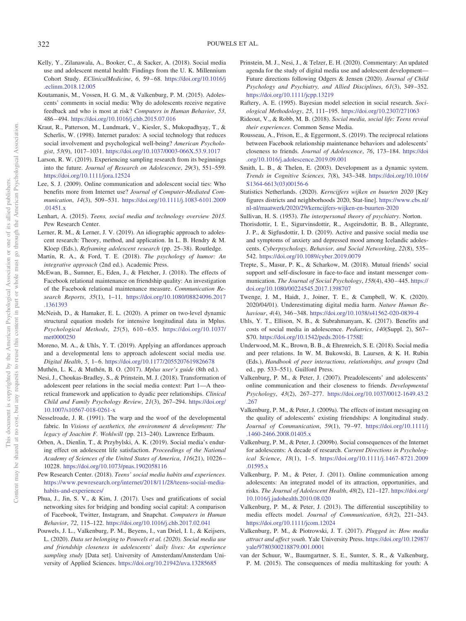- <span id="page-13-26"></span>Kelly, Y., Zilanawala, A., Booker, C., & Sacker, A. (2018). Social media use and adolescent mental health: Findings from the U. K. Millennium Cohort Study. *EClinicalMedicine*, *6*, 59 – 68. [https://doi.org/10.1016/j](https://doi.org/10.1016/j.eclinm.2018.12.005) [.eclinm.2018.12.005](https://doi.org/10.1016/j.eclinm.2018.12.005)
- <span id="page-13-13"></span>Koutamanis, M., Vossen, H. G. M., & Valkenburg, P. M. (2015). Adolescents' comments in social media: Why do adolescents receive negative feedback and who is most at risk? *Computers in Human Behavior*, *53*, 486 – 494. <https://doi.org/10.1016/j.chb.2015.07.016>
- <span id="page-13-18"></span>Kraut, R., Patterson, M., Lundmark, V., Kiesler, S., Mukopadhyay, T., & Scherlis, W. (1998). Internet paradox: A social technology that reduces social involvement and psychological well-being? *American Psychologist*, *53*(9), 1017–1031. <https://doi.org/10.1037/0003-066X.53.9.1017>
- <span id="page-13-32"></span>Larson, R. W. (2019). Experiencing sampling research from its beginnings into the future. *Journal of Research on Adolescence*, *29*(3), 551–559. <https://doi.org/10.1111/jora.12524>
- <span id="page-13-9"></span>Lee, S. J. (2009). Online communication and adolescent social ties: Who benefits more from Internet use? *Journal of Computer-Mediated Communication*, *14*(3), 509 –531. [https://doi.org/10.1111/j.1083-6101.2009](https://doi.org/10.1111/j.1083-6101.2009.01451.x) [.01451.x](https://doi.org/10.1111/j.1083-6101.2009.01451.x)
- <span id="page-13-15"></span>Lenhart, A. (2015). *Teens, social media and technology overview 2015*. Pew Research Center.
- <span id="page-13-33"></span>Lerner, R. M., & Lerner, J. V. (2019). An idiographic approach to adolescent research: Theory, method, and application. In L. B. Hendry & M. Kloep (Eds.), *Reframing adolescent research* (pp. 25–38). Routledge.
- <span id="page-13-21"></span>Martin, R. A., & Ford, T. E. (2018). *The psychology of humor: An integrative approach* (2nd ed.). Academic Press.
- <span id="page-13-20"></span>McEwan, B., Sumner, E., Eden, J., & Fletcher, J. (2018). The effects of Facebook relational maintenance on friendship quality: An investigation of the Facebook relational maintenance measure. *Communication Research Reports*, *35*(1), 1–11. [https://doi.org/10.1080/08824096.2017](https://doi.org/10.1080/08824096.2017.1361393) [.1361393](https://doi.org/10.1080/08824096.2017.1361393)
- McNeish, D., & Hamaker, E. L. (2020). A primer on two-level dynamic structural equation models for intensive longitudinal data in Mplus. *Psychological Methods*, *25*(5), 610 – 635. [https://doi.org/10.1037/](https://doi.org/10.1037/met0000250) [met0000250](https://doi.org/10.1037/met0000250)
- <span id="page-13-12"></span>Moreno, M. A., & Uhls, Y. T. (2019). Applying an affordances approach and a developmental lens to approach adolescent social media use. *Digital Health*, *5*, 1– 6. <https://doi.org/10.1177/2055207619826678>
- <span id="page-13-23"></span><span id="page-13-2"></span>Muthén, L. K., & Muthén, B. O. (2017). *Mplus user's guide* (8th ed.). Nesi, J., Choukas-Bradley, S., & Prinstein, M. J. (2018). Transformation of adolescent peer relations in the social media context: Part 1—A theoretical framework and application to dyadic peer relationships. *Clinical Child and Family Psychology Review*, *21*(3), 267–294. [https://doi.org/](https://doi.org/10.1007/s10567-018-0261-x) [10.1007/s10567-018-0261-x](https://doi.org/10.1007/s10567-018-0261-x)
- <span id="page-13-35"></span>Nesselroade, J. R. (1991). The warp and the woof of the developmental fabric. In *Visions of aesthetics, the environment & development: The legacy of Joachim F. Wohlwill* (pp. 213–240). Lawrence Erlbaum.
- <span id="page-13-30"></span>Orben, A., Dienlin, T., & Przybylski, A. K. (2019). Social media's enduring effect on adolescent life satisfaction. *Proceedings of the National Academy of Sciences of the United States of America*, *116*(21), 10226 – 10228. <https://doi.org/10.1073/pnas.1902058116>
- <span id="page-13-14"></span>Pew Research Center. (2018). *Teens' social media habits and experiences*. [https://www.pewresearch.org/internet/2018/11/28/teens-social-media](https://www.pewresearch.org/internet/2018/11/28/teens-social-media-habits-and-experiences/)[habits-and-experiences/](https://www.pewresearch.org/internet/2018/11/28/teens-social-media-habits-and-experiences/)
- <span id="page-13-19"></span>Phua, J., Jin, S. V., & Kim, J. (2017). Uses and gratifications of social networking sites for bridging and bonding social capital: A comparison of Facebook, Twitter, Instagram, and Snapchat. *Computers in Human Behavior*, *72*, 115–122. <https://doi.org/10.1016/j.chb.2017.02.041>
- <span id="page-13-6"></span>Pouwels, J. L., Valkenburg, P. M., Beyens, I., van Driel, I. I., & Keijsers, L. (2020). *Data set belonging to Pouwels et al. (2020). Social media use and friendship closeness in adolescents' daily lives: An experience sampling study* [Data set]. University of Amsterdam/Amsterdam University of Applied Sciences. <https://doi.org/10.21942/uva.13285685>
- <span id="page-13-16"></span>Prinstein, M. J., Nesi, J., & Telzer, E. H. (2020). Commentary: An updated agenda for the study of digital media use and adolescent development— Future directions following Odgers & Jensen (2020). *Journal of Child Psychology and Psychiatry, and Allied Disciplines*, *61*(3), 349 –352. <https://doi.org/10.1111/jcpp.13219>
- <span id="page-13-24"></span>Raftery, A. E. (1995). Bayesian model selection in social research. *Sociological Methodology*, *25*, 111–195. <https://doi.org/10.2307/271063>
- <span id="page-13-1"></span>Rideout, V., & Robb, M. B. (2018). *Social media, social life: Teens reveal their experiences*. Common Sense Media.
- <span id="page-13-3"></span>Rousseau, A., Frison, E., & Eggermont, S. (2019). The reciprocal relations between Facebook relationship maintenance behaviors and adolescents' closeness to friends. *Journal of Adolescence*, *76*, 173–184. [https://doi](https://doi.org/10.1016/j.adolescence.2019.09.001) [.org/10.1016/j.adolescence.2019.09.001](https://doi.org/10.1016/j.adolescence.2019.09.001)
- <span id="page-13-34"></span>Smith, L. B., & Thelen, E. (2003). Development as a dynamic system. *Trends in Cognitive Sciences*, *7*(8), 343–348. [https://doi.org/10.1016/](https://doi.org/10.1016/S1364-6613%2803%2900156-6) [S1364-6613\(03\)00156-6](https://doi.org/10.1016/S1364-6613%2803%2900156-6)
- <span id="page-13-22"></span>Statistics Netherlands. (2020). *Kerncijfers wijken en buurten 2020* [Key figures districts and neighborhoods 2020, Stat-line]. [https://www.cbs.nl/](https://www.cbs.nl/nl-nl/maatwerk/2020/29/kerncijfers-wijken-en-buurten-2020) [nl-nl/maatwerk/2020/29/kerncijfers-wijken-en-buurten-2020](https://www.cbs.nl/nl-nl/maatwerk/2020/29/kerncijfers-wijken-en-buurten-2020)
- <span id="page-13-0"></span>Sullivan, H. S. (1953). *The interpersonal theory of psychiatry*. Norton.
- <span id="page-13-27"></span>Thorisdottir, I. E., Sigurvinsdottir, R., Asgeirsdottir, B. B., Allegrante, J. P., & Sigfusdottir, I. D. (2019). Active and passive social media use and symptoms of anxiety and depressed mood among Icelandic adolescents. *Cyberpsychology, Behavior, and Social Networking*, *22*(8), 535– 542. <https://doi.org/10.1089/cyber.2019.0079>
- <span id="page-13-11"></span>Trepte, S., Masur, P. K., & Scharkow, M. (2018). Mutual friends' social support and self-disclosure in face-to-face and instant messenger communication. *The Journal of Social Psychology*, *158*(4), 430 – 445. [https://](https://doi.org/10.1080/00224545.2017.1398707) [doi.org/10.1080/00224545.2017.1398707](https://doi.org/10.1080/00224545.2017.1398707)
- <span id="page-13-28"></span>Twenge, J. M., Haidt, J., Joiner, T. E., & Campbell, W. K. (2020). 2020/04/01). Underestimating digital media harm. *Nature Human Behaviour*, *4*(4), 346 –348. <https://doi.org/10.1038/s41562-020-0839-4>
- <span id="page-13-4"></span>Uhls, Y. T., Ellison, N. B., & Subrahmanyam, K. (2017). Benefits and costs of social media in adolescence. *Pediatrics*, *140*(Suppl. 2), S67– S70. <https://doi.org/10.1542/peds.2016-1758E>
- <span id="page-13-29"></span>Underwood, M. K., Brown, B. B., & Ehrenreich, S. E. (2018). Social media and peer relations. In W. M. Bukowski, B. Laursen, & K. H. Rubin (Eds.), *Handbook of peer interactions, relationships, and groups* (2nd ed., pp. 533–551). Guilford Press.
- <span id="page-13-7"></span>Valkenburg, P. M., & Peter, J. (2007). Preadolescents' and adolescents' online communication and their closeness to friends. *Developmental Psychology*, *43*(2), 267–277. [https://doi.org/10.1037/0012-1649.43.2](https://doi.org/10.1037/0012-1649.43.2.267) [.267](https://doi.org/10.1037/0012-1649.43.2.267)
- <span id="page-13-8"></span>Valkenburg, P. M., & Peter, J. (2009a). The effects of instant messaging on the quality of adolescents' existing friendships: A longitudinal study. *Journal of Communication*, *59*(1), 79 –97. [https://doi.org/10.1111/j](https://doi.org/10.1111/j.1460-2466.2008.01405.x) [.1460-2466.2008.01405.x](https://doi.org/10.1111/j.1460-2466.2008.01405.x)
- <span id="page-13-17"></span>Valkenburg, P. M., & Peter, J. (2009b). Social consequences of the Internet for adolescents: A decade of research. *Current Directions in Psychological Science*, *18*(1), 1–5. [https://doi.org/10.1111/j.1467-8721.2009](https://doi.org/10.1111/j.1467-8721.2009.01595.x) [.01595.x](https://doi.org/10.1111/j.1467-8721.2009.01595.x)
- <span id="page-13-5"></span>Valkenburg, P. M., & Peter, J. (2011). Online communication among adolescents: An integrated model of its attraction, opportunities, and risks. *The Journal of Adolescent Health*, *48*(2), 121–127. [https://doi.org/](https://doi.org/10.1016/j.jadohealth.2010.08.020) [10.1016/j.jadohealth.2010.08.020](https://doi.org/10.1016/j.jadohealth.2010.08.020)
- <span id="page-13-25"></span>Valkenburg, P. M., & Peter, J. (2013). The differential susceptibility to media effects model. *Journal of Communication*, *63*(2), 221–243. <https://doi.org/10.1111/jcom.12024>
- <span id="page-13-10"></span>Valkenburg, P. M., & Piotrowski, J. T. (2017). *Plugged in: How media attract and affect youth*. Yale University Press. [https://doi.org/10.12987/](https://doi.org/10.12987/yale/9780300218879.001.0001) [yale/9780300218879.001.0001](https://doi.org/10.12987/yale/9780300218879.001.0001)
- <span id="page-13-31"></span>van der Schuur, W., Baumgartner, S. E., Sumter, S. R., & Valkenburg, P. M. (2015). The consequences of media multitasking for youth: A